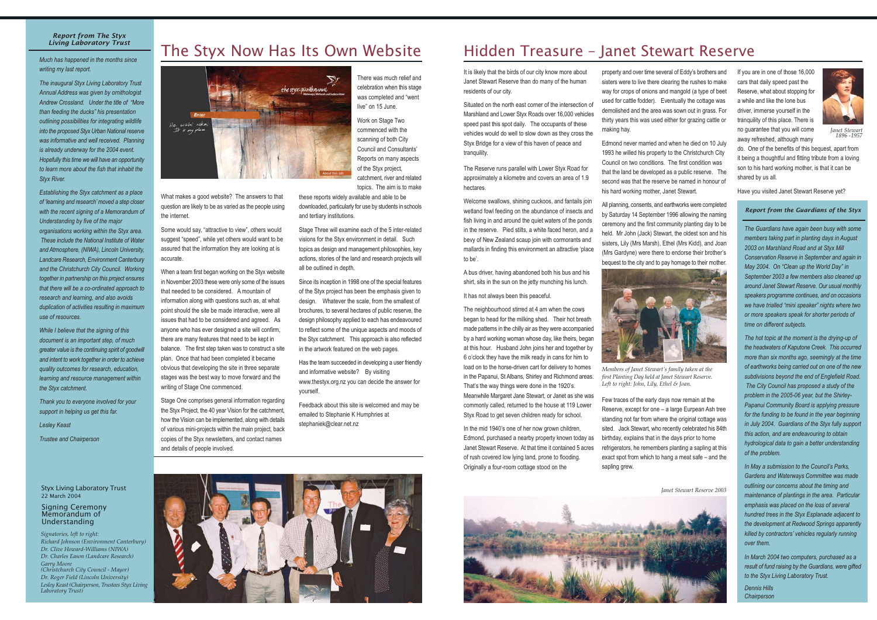#### **Report from The Styx Living Laboratory Trust**

Much has happened in the months since writing my last report.

The inaugural Styx Living Laboratory Trust Annual Address was given by ornithologist Andrew Crossland. Under the title of "More" than feeding the ducks" his presentation outlining possibilities for integrating wildlife into the proposed Styx Urban National reserve was informative and well received. Planning is already underway for the 2004 event. Hopefully this time we will have an opportunity to learn more about the fish that inhabit the **Stvx River.** 

Establishing the Styx catchment as a place of 'learning and research' moved a step closer with the recent signing of a Memorandum of Understanding by five of the major

organisations working within the Styx area. These include the National Institute of Water and Atmosphere, (NIWA), Lincoln University, Landcare Research, Environment Canterbury and the Christchurch City Council. Working together in partnership on this project ensures that there will be a co-ordinated approach to research and learning, and also avoids duplication of activities resulting in maximum use of resources.

While I believe that the signing of this document is an important step, of much greater value is the continuing spirit of goodwill and intent to work together in order to achieve quality outcomes for research, education, learning and resource management within the Styx catchment.

Thank you to everyone involved for your support in helping us get this far.

**Lesley Keast** 

Trustee and Chairperson

#### **Styx Living Laboratory Trust** 22 March 2004

#### **Signing Ceremony** Memorandum of Understanding

Signatories, left to right: Richard Johnson (Environment Canterbury) Dr. Clive Howard-Williams (NIWA) Dr. Charles Eason (Landcare Research) Garry Moore<br>(Christchurch City Council - Mayor) Dr. Roger Field (Lincoln University) Lesley Keast (Chairperson, Trustees Styx Living Laboratory Trust)

# The Styx Now Has Its Own Website



What makes a good website? The answers to that question are likely to be as varied as the people using the internet.

Some would say, "attractive to view", others would suggest "speed", while yet others would want to be assured that the information they are looking at is accurate.

When a team first began working on the Styx website in November 2003 these were only some of the issues that needed to be considered. A mountain of information along with questions such as, at what point should the site be made interactive, were all issues that had to be considered and agreed. As anyone who has ever designed a site will confirm, there are many features that need to be kept in balance. The first step taken was to construct a site plan. Once that had been completed it became obvious that developing the site in three separate stages was the best way to move forward and the writing of Stage One commenced.

Stage One comprises general information regarding the Styx Project, the 40 year Vision for the catchment, how the Vision can be implemented, along with details of various mini-projects within the main project, back copies of the Styx newsletters, and contact names and details of people involved.

There was much relief and celebration when this stage was completed and "went live" on 15 June.

Work on Stage Two commenced with the scanning of both City **Council and Consultants'** Reports on many aspects of the Styx project, catchment, river and related topics. The aim is to make

these reports widely available and able to be downloaded, particularly for use by students in schools and tertiary institutions.

Stage Three will examine each of the 5 inter-related visions for the Styx environment in detail. Such topics as design and management philosophies, key actions, stories of the land and research projects will all be outlined in depth.

Since its inception in 1998 one of the special features of the Styx project has been the emphasis given to design. Whatever the scale, from the smallest of brochures, to several hectares of public reserve, the design philosophy applied to each has endeavoured to reflect some of the unique aspects and moods of the Styx catchment. This approach is also reflected in the artwork featured on the web pages.

Has the team succeeded in developing a user friendly and informative website? By visiting www.thestyx.org.nz you can decide the answer for vourself.

Feedback about this site is welcomed and may be emailed to Stephanie K Humphries at stephaniek@clear.net.nz



It is likely that the birds of our city know more about Janet Stewart Reserve than do many of the human residents of our city.

Situated on the north east corner of the intersection of Marshland and Lower Styx Roads over 16,000 vehicles speed past this spot daily. The occupants of these vehicles would do well to slow down as they cross the Styx Bridge for a view of this haven of peace and tranguility.

The Reserve runs parallel with Lower Styx Road for approximately a kilometre and covers an area of 1.9 hectares.

Welcome swallows, shining cuckoos, and fantails join wetland fowl feeding on the abundance of insects and fish living in and around the quiet waters of the ponds in the reserve. Pied stilts, a white faced heron, and a bevy of New Zealand scaup join with cormorants and mallards in finding this environment an attractive 'place to be'.

A bus driver, having abandoned both his bus and his shirt, sits in the sun on the jetty munching his lunch.

It has not always been this peaceful.

The neighbourhood stirred at 4 am when the cows began to head for the milking shed. Their hot breath made patterns in the chilly air as they were accompanied by a hard working woman whose day, like theirs, began at this hour. Husband John joins her and together by 6 o'clock they have the milk ready in cans for him to load on to the horse-driven cart for delivery to homes in the Papanui, St Albans, Shirley and Richmond areas. That's the way things were done in the 1920's. Meanwhile Margaret Jane Stewart, or Janet as she was

commonly called, returned to the house at 119 Lower Styx Road to get seven children ready for school.

In the mid 1940's one of her now grown children, Edmond, purchased a nearby property known today as Janet Stewart Reserve. At that time it contained 5 acres of rush covered low lying land, prone to flooding. Originally a four-room cottage stood on the

property and over time several of Eddy's brothers and sisters were to live there clearing the rushes to make way for crops of onions and mangold (a type of beet used for cattle fodder). Eventually the cottage was demolished and the area was sown out in grass. For thirty years this was used either for grazing cattle or making hay.

Edmond never married and when he died on 10 July 1993 he willed his property to the Christchurch City Council on two conditions. The first condition was that the land be developed as a public reserve. The second was that the reserve be named in honour of his hard working mother, Janet Stewart.

All planning, consents, and earthworks were completed by Saturday 14 September 1996 allowing the naming ceremony and the first community planting day to be held. Mr John (Jack) Stewart, the oldest son and his sisters, Lily (Mrs Marsh), Ethel (Mrs Kidd), and Joan (Mrs Gardyne) were there to endorse their brother's bequest to the city and to pay homage to their mother.



Members of Janet Stewart's family taken at the first Planting Day held at Janet Stewart Reserve. Left to right: John, Lily, Ethel & Joan.

Few traces of the early days now remain at the Reserve, except for one - a large Eurpean Ash tree standing not far from where the original cottage was sited. Jack Stewart, who recently celebrated his 84th birthday, explains that in the days prior to home refrigerators, he remembers planting a sapling at this exact spot from which to hang a meat safe - and the sapling grew.





**Ianet Stewart Reserve 2003** 

If you are in one of those 16,000 cars that daily speed past the Reserve, what about stopping for a while and like the lone bus driver, immerse yourself in the tranguility of this place. There is no guarantee that you will come away refreshed, although many



Janet Stewart<br>1896-1957

do. One of the benefits of this bequest, apart from it being a thoughtful and fitting tribute from a loving son to his hard working mother, is that it can be shared by us all.

Have you visited Janet Stewart Reserve yet?

#### Report from the Guardians of the Styx

The Guardians have again been busy with some members taking part in planting days in August 2003 on Marshland Road and at Styx Mill Conservation Reserve in September and again in May 2004. On "Clean up the World Day" in September 2003 a few members also cleaned up around Janet Stewart Reserve. Our usual monthly speakers programme continues, and on occasions we have trialled "mini speaker" nights where two or more speakers speak for shorter periods of time on different subjects.

The hot topic at the moment is the drying-up of the headwaters of Kaputone Creek. This occurred more than six months ago, seemingly at the time of earthworks being carried out on one of the new subdivisions bevond the end of Fnalefield Road. The City Council has proposed a study of the problem in the 2005-06 year, but the Shirley-Papanui Community Board is applying pressure for the funding to be found in the year beginning in July 2004. Guardians of the Styx fully support this action, and are endeavouring to obtain hydrological data to gain a better understanding of the problem.

In May a submission to the Council's Parks, Gardens and Waterways Committee was made outlining our concerns about the timing and maintenance of plantings in the area. Particular emphasis was placed on the loss of several hundred trees in the Stvx Esplanade adiacent to the development at Redwood Springs apparently killed by contractors' vehicles regularly running over them.

In March 2004 two computers, purchased as a result of fund raising by the Guardians, were gifted to the Styx Living Laboratory Trust.

Dennis Hills Chairperson